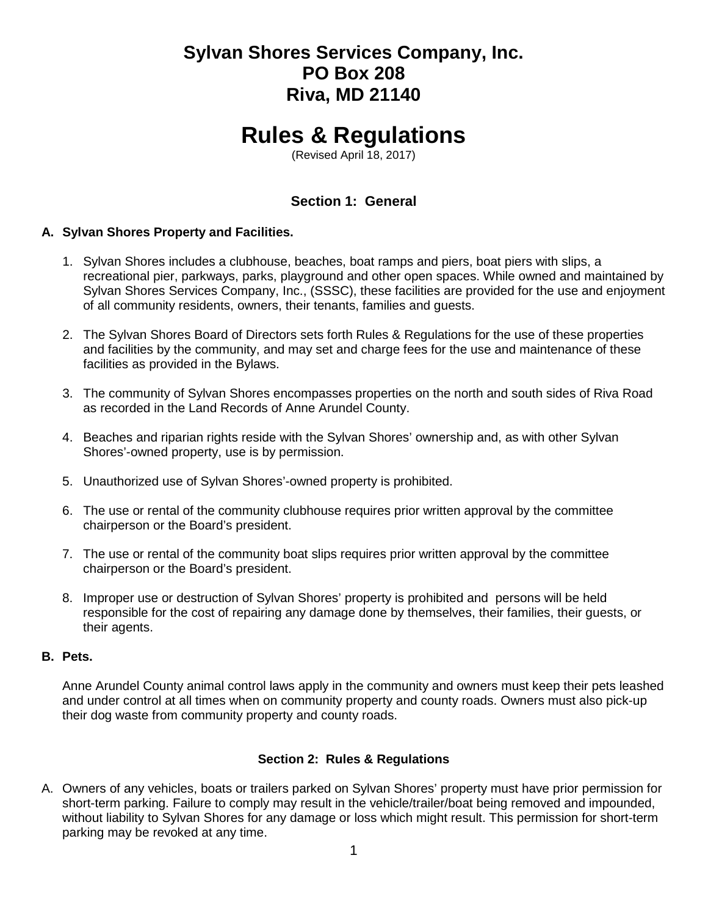# **Sylvan Shores Services Company, Inc. PO Box 208 Riva, MD 21140**

# **Rules & Regulations**

(Revised April 18, 2017)

# **Section 1: General**

# **A. Sylvan Shores Property and Facilities.**

- 1. Sylvan Shores includes a clubhouse, beaches, boat ramps and piers, boat piers with slips, a recreational pier, parkways, parks, playground and other open spaces. While owned and maintained by Sylvan Shores Services Company, Inc., (SSSC), these facilities are provided for the use and enjoyment of all community residents, owners, their tenants, families and guests.
- 2. The Sylvan Shores Board of Directors sets forth Rules & Regulations for the use of these properties and facilities by the community, and may set and charge fees for the use and maintenance of these facilities as provided in the Bylaws.
- 3. The community of Sylvan Shores encompasses properties on the north and south sides of Riva Road as recorded in the Land Records of Anne Arundel County.
- 4. Beaches and riparian rights reside with the Sylvan Shores' ownership and, as with other Sylvan Shores'-owned property, use is by permission.
- 5. Unauthorized use of Sylvan Shores'-owned property is prohibited.
- 6. The use or rental of the community clubhouse requires prior written approval by the committee chairperson or the Board's president.
- 7. The use or rental of the community boat slips requires prior written approval by the committee chairperson or the Board's president.
- 8. Improper use or destruction of Sylvan Shores' property is prohibited and persons will be held responsible for the cost of repairing any damage done by themselves, their families, their guests, or their agents.

#### **B. Pets.**

Anne Arundel County animal control laws apply in the community and owners must keep their pets leashed and under control at all times when on community property and county roads. Owners must also pick-up their dog waste from community property and county roads.

# **Section 2: Rules & Regulations**

A. Owners of any vehicles, boats or trailers parked on Sylvan Shores' property must have prior permission for short-term parking. Failure to comply may result in the vehicle/trailer/boat being removed and impounded, without liability to Sylvan Shores for any damage or loss which might result. This permission for short-term parking may be revoked at any time.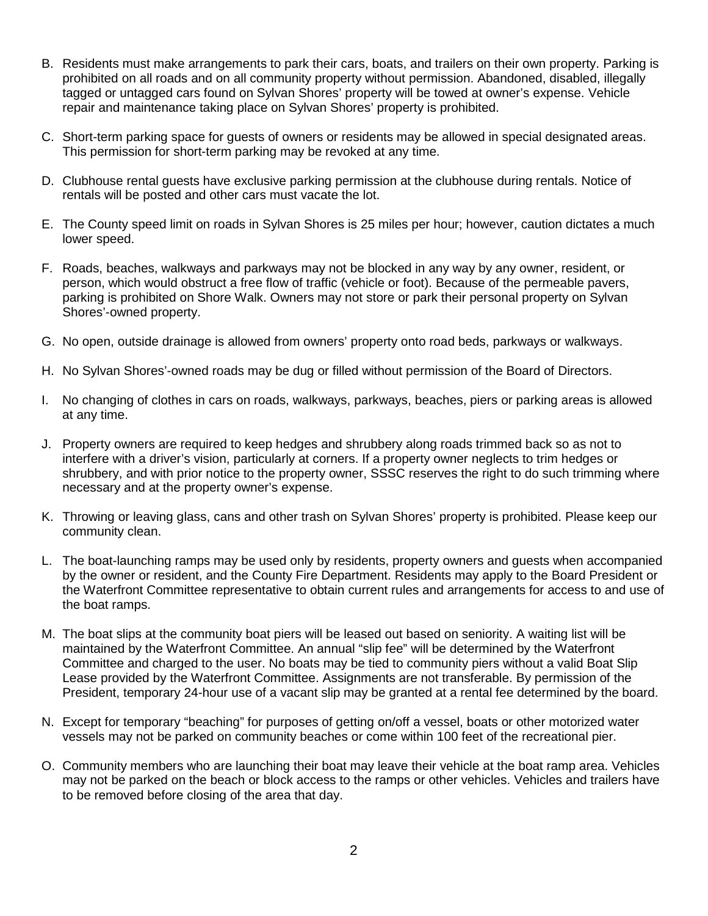- B. Residents must make arrangements to park their cars, boats, and trailers on their own property. Parking is prohibited on all roads and on all community property without permission. Abandoned, disabled, illegally tagged or untagged cars found on Sylvan Shores' property will be towed at owner's expense. Vehicle repair and maintenance taking place on Sylvan Shores' property is prohibited.
- C. Short-term parking space for guests of owners or residents may be allowed in special designated areas. This permission for short-term parking may be revoked at any time.
- D. Clubhouse rental guests have exclusive parking permission at the clubhouse during rentals. Notice of rentals will be posted and other cars must vacate the lot.
- E. The County speed limit on roads in Sylvan Shores is 25 miles per hour; however, caution dictates a much lower speed.
- F. Roads, beaches, walkways and parkways may not be blocked in any way by any owner, resident, or person, which would obstruct a free flow of traffic (vehicle or foot). Because of the permeable pavers, parking is prohibited on Shore Walk. Owners may not store or park their personal property on Sylvan Shores'-owned property.
- G. No open, outside drainage is allowed from owners' property onto road beds, parkways or walkways.
- H. No Sylvan Shores'-owned roads may be dug or filled without permission of the Board of Directors.
- I. No changing of clothes in cars on roads, walkways, parkways, beaches, piers or parking areas is allowed at any time.
- J. Property owners are required to keep hedges and shrubbery along roads trimmed back so as not to interfere with a driver's vision, particularly at corners. If a property owner neglects to trim hedges or shrubbery, and with prior notice to the property owner, SSSC reserves the right to do such trimming where necessary and at the property owner's expense.
- K. Throwing or leaving glass, cans and other trash on Sylvan Shores' property is prohibited. Please keep our community clean.
- L. The boat-launching ramps may be used only by residents, property owners and guests when accompanied by the owner or resident, and the County Fire Department. Residents may apply to the Board President or the Waterfront Committee representative to obtain current rules and arrangements for access to and use of the boat ramps.
- M. The boat slips at the community boat piers will be leased out based on seniority. A waiting list will be maintained by the Waterfront Committee. An annual "slip fee" will be determined by the Waterfront Committee and charged to the user. No boats may be tied to community piers without a valid Boat Slip Lease provided by the Waterfront Committee. Assignments are not transferable. By permission of the President, temporary 24-hour use of a vacant slip may be granted at a rental fee determined by the board.
- N. Except for temporary "beaching" for purposes of getting on/off a vessel, boats or other motorized water vessels may not be parked on community beaches or come within 100 feet of the recreational pier.
- O. Community members who are launching their boat may leave their vehicle at the boat ramp area. Vehicles may not be parked on the beach or block access to the ramps or other vehicles. Vehicles and trailers have to be removed before closing of the area that day.